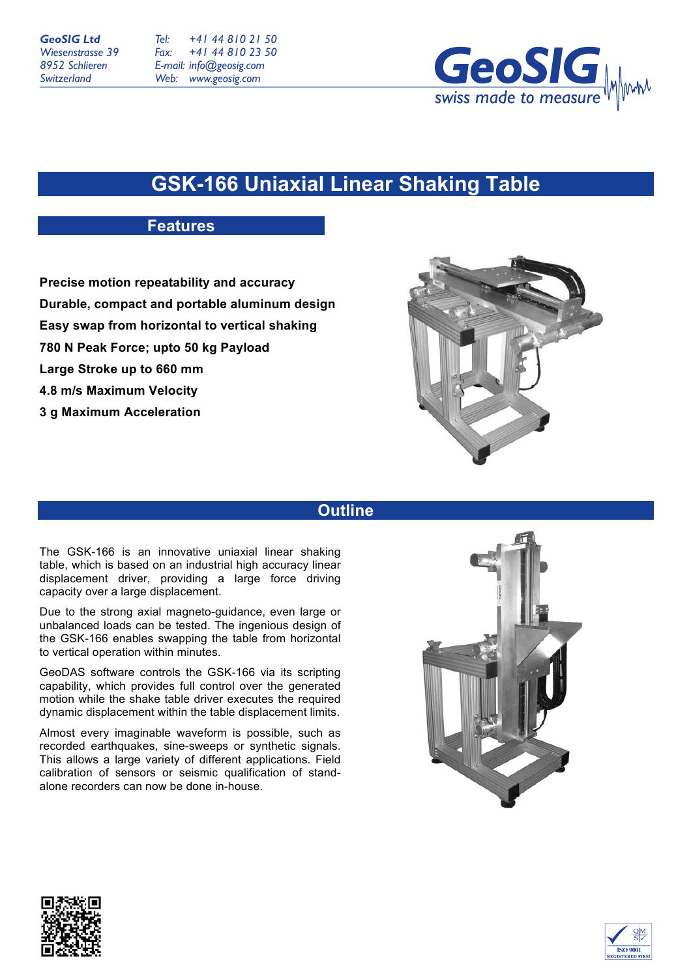*GeoSIG Ltd Wiesenstrasse 39 8952 Schlieren Switzerland*

*Tel: Fax: E-mail: info@geosig.com Web: www.geosig.com +41 44 810 21 50 +41 44 810 23 50*



# **GSK-166 Uniaxial Linear Shaking Table**

## **Features**

**Precise motion repeatability and accuracy Durable, compact and portable aluminum design Easy swap from horizontal to vertical shaking 780 N Peak Force; upto 50 kg Payload Large Stroke up to 660 mm 4.8 m/s Maximum Velocity 3 g Maximum Acceleration**



### **Outline**

The GSK-166 is an innovative uniaxial linear shaking table, which is based on an industrial high accuracy linear displacement driver, providing a large force driving capacity over a large displacement.

Due to the strong axial magneto-guidance, even large or unbalanced loads can be tested. The ingenious design of the GSK-166 enables swapping the table from horizontal to vertical operation within minutes.

GeoDAS software controls the GSK-166 via its scripting capability, which provides full control over the generated motion while the shake table driver executes the required dynamic displacement within the table displacement limits.

Almost every imaginable waveform is possible, such as recorded earthquakes, sine-sweeps or synthetic signals. This allows a large variety of different applications. Field calibration of sensors or seismic qualification of standalone recorders can now be done in-house.